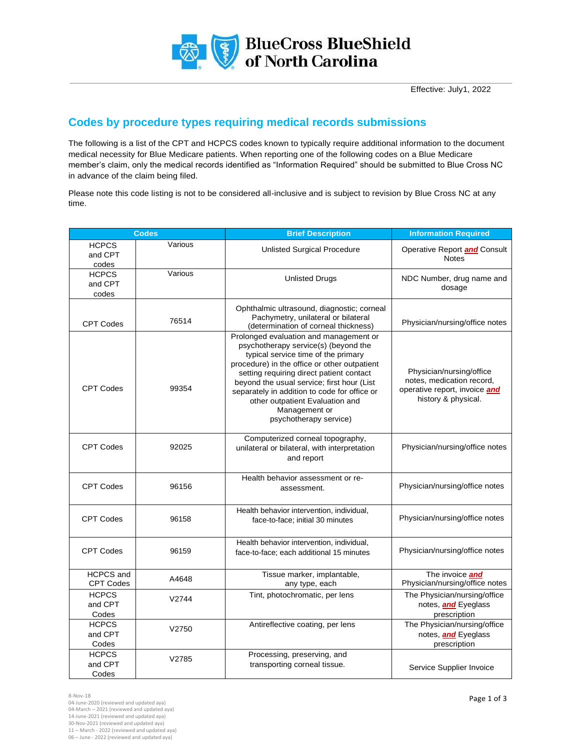

Effective: July1, 2022

## **Codes by procedure types requiring medical records submissions**

The following is a list of the CPT and HCPCS codes known to typically require additional information to the document medical necessity for Blue Medicare patients. When reporting one of the following codes on a Blue Medicare member's claim, only the medical records identified as "Information Required" should be submitted to Blue Cross NC in advance of the claim being filed.

Please note this code listing is not to be considered all-inclusive and is subject to revision by Blue Cross NC at any time.

| <b>Codes</b>                         |         | <b>Brief Description</b>                                                                                                                                                                                                                                                                                                                                                                      | <b>Information Required</b>                                                                                   |
|--------------------------------------|---------|-----------------------------------------------------------------------------------------------------------------------------------------------------------------------------------------------------------------------------------------------------------------------------------------------------------------------------------------------------------------------------------------------|---------------------------------------------------------------------------------------------------------------|
| <b>HCPCS</b><br>and CPT<br>codes     | Various | <b>Unlisted Surgical Procedure</b>                                                                                                                                                                                                                                                                                                                                                            | Operative Report <b>and</b> Consult<br><b>Notes</b>                                                           |
| <b>HCPCS</b><br>and CPT<br>codes     | Various | <b>Unlisted Drugs</b>                                                                                                                                                                                                                                                                                                                                                                         | NDC Number, drug name and<br>dosage                                                                           |
| <b>CPT Codes</b>                     | 76514   | Ophthalmic ultrasound, diagnostic; corneal<br>Pachymetry, unilateral or bilateral<br>(determination of corneal thickness)                                                                                                                                                                                                                                                                     | Physician/nursing/office notes                                                                                |
| <b>CPT Codes</b>                     | 99354   | Prolonged evaluation and management or<br>psychotherapy service(s) (beyond the<br>typical service time of the primary<br>procedure) in the office or other outpatient<br>setting requiring direct patient contact<br>beyond the usual service; first hour (List<br>separately in addition to code for office or<br>other outpatient Evaluation and<br>Management or<br>psychotherapy service) | Physician/nursing/office<br>notes, medication record,<br>operative report, invoice and<br>history & physical. |
| <b>CPT Codes</b>                     | 92025   | Computerized corneal topography,<br>unilateral or bilateral, with interpretation<br>and report                                                                                                                                                                                                                                                                                                | Physician/nursing/office notes                                                                                |
| <b>CPT Codes</b>                     | 96156   | Health behavior assessment or re-<br>assessment.                                                                                                                                                                                                                                                                                                                                              | Physician/nursing/office notes                                                                                |
| <b>CPT Codes</b>                     | 96158   | Health behavior intervention, individual,<br>face-to-face; initial 30 minutes                                                                                                                                                                                                                                                                                                                 | Physician/nursing/office notes                                                                                |
| <b>CPT Codes</b>                     | 96159   | Health behavior intervention, individual,<br>face-to-face; each additional 15 minutes                                                                                                                                                                                                                                                                                                         | Physician/nursing/office notes                                                                                |
| <b>HCPCS</b> and<br><b>CPT Codes</b> | A4648   | Tissue marker, implantable,<br>any type, each                                                                                                                                                                                                                                                                                                                                                 | The invoice and<br>Physician/nursing/office notes                                                             |
| <b>HCPCS</b><br>and CPT<br>Codes     | V2744   | Tint, photochromatic, per lens                                                                                                                                                                                                                                                                                                                                                                | The Physician/nursing/office<br>notes, <b>and</b> Eyeglass<br>prescription                                    |
| <b>HCPCS</b><br>and CPT<br>Codes     | V2750   | Antireflective coating, per lens                                                                                                                                                                                                                                                                                                                                                              | The Physician/nursing/office<br>notes, <b>and</b> Eyeglass<br>prescription                                    |
| <b>HCPCS</b><br>and CPT<br>Codes     | V2785   | Processing, preserving, and<br>transporting corneal tissue.                                                                                                                                                                                                                                                                                                                                   | Service Supplier Invoice                                                                                      |

8-Nov-18

04-June-2020 (reviewed and updated aya) 04-March – 2021 (reviewed and updated aya) 14-June-2021 (reviewed and updated aya) 30-Nov-2021 (reviewed and updated aya) 11 – March - 2022 (reviewed and updated aya) 06 – June - 2022 (reviewed and updated aya)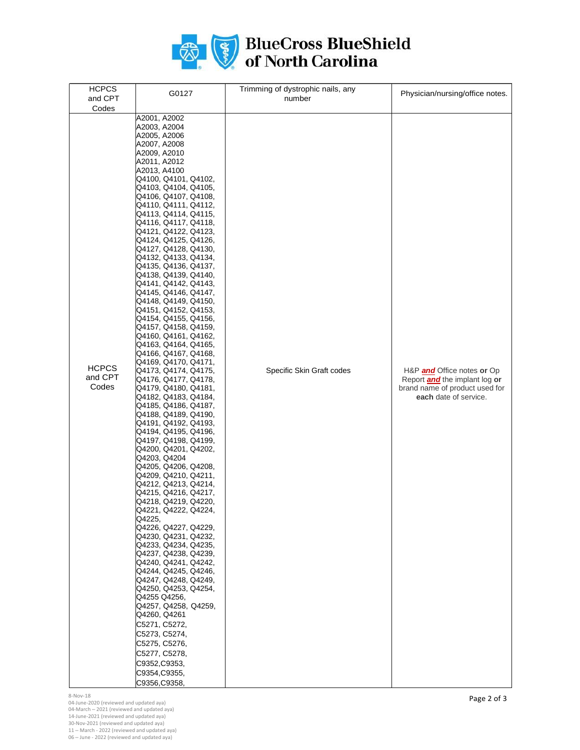

| <b>HCPCS</b>                              | G0127                                                                                                                                                                                                                                                                                                                                                                                                                                                                                                                                                                                                                                                                                                                                                                                                                                                                                                                                                                                                                                                                                                                                                                                                                                                                                                                                                                                                                                                | Trimming of dystrophic nails, any | Physician/nursing/office notes.                                                                                               |
|-------------------------------------------|------------------------------------------------------------------------------------------------------------------------------------------------------------------------------------------------------------------------------------------------------------------------------------------------------------------------------------------------------------------------------------------------------------------------------------------------------------------------------------------------------------------------------------------------------------------------------------------------------------------------------------------------------------------------------------------------------------------------------------------------------------------------------------------------------------------------------------------------------------------------------------------------------------------------------------------------------------------------------------------------------------------------------------------------------------------------------------------------------------------------------------------------------------------------------------------------------------------------------------------------------------------------------------------------------------------------------------------------------------------------------------------------------------------------------------------------------|-----------------------------------|-------------------------------------------------------------------------------------------------------------------------------|
| and CPT                                   |                                                                                                                                                                                                                                                                                                                                                                                                                                                                                                                                                                                                                                                                                                                                                                                                                                                                                                                                                                                                                                                                                                                                                                                                                                                                                                                                                                                                                                                      | number                            |                                                                                                                               |
|                                           |                                                                                                                                                                                                                                                                                                                                                                                                                                                                                                                                                                                                                                                                                                                                                                                                                                                                                                                                                                                                                                                                                                                                                                                                                                                                                                                                                                                                                                                      |                                   |                                                                                                                               |
| Codes<br><b>HCPCS</b><br>and CPT<br>Codes | A2001, A2002<br>A2003, A2004<br>A2005, A2006<br>A2007, A2008<br>A2009, A2010<br>A2011, A2012<br>A2013, A4100<br>Q4100, Q4101, Q4102,<br>Q4103, Q4104, Q4105,<br>Q4106, Q4107, Q4108,<br>Q4110, Q4111, Q4112,<br>Q4113, Q4114, Q4115,<br>Q4116, Q4117, Q4118,<br>Q4121, Q4122, Q4123,<br>Q4124, Q4125, Q4126,<br>Q4127, Q4128, Q4130,<br>Q4132, Q4133, Q4134,<br>Q4135, Q4136, Q4137,<br>Q4138, Q4139, Q4140,<br>Q4141, Q4142, Q4143,<br>Q4145, Q4146, Q4147,<br>Q4148, Q4149, Q4150,<br>Q4151, Q4152, Q4153,<br>Q4154, Q4155, Q4156,<br>Q4157, Q4158, Q4159,<br>Q4160, Q4161, Q4162,<br>Q4163, Q4164, Q4165,<br>Q4166, Q4167, Q4168,<br>Q4169, Q4170, Q4171,<br>Q4173, Q4174, Q4175,<br>Q4176, Q4177, Q4178,<br>Q4179, Q4180, Q4181,<br>Q4182, Q4183, Q4184,<br>Q4185, Q4186, Q4187,<br>Q4188, Q4189, Q4190,<br>Q4191, Q4192, Q4193,<br>Q4194, Q4195, Q4196,<br>Q4197, Q4198, Q4199,<br>Q4200, Q4201, Q4202,<br>Q4203, Q4204<br>Q4205, Q4206, Q4208,<br>Q4209, Q4210, Q4211,<br>Q4212, Q4213, Q4214,<br>Q4215, Q4216, Q4217,<br>Q4218, Q4219, Q4220,<br>Q4221, Q4222, Q4224,<br>Q4225.<br>Q4226, Q4227, Q4229,<br>Q4230, Q4231, Q4232,<br>Q4233, Q4234, Q4235,<br>Q4237, Q4238, Q4239,<br>Q4240, Q4241, Q4242,<br>Q4244, Q4245, Q4246,<br>Q4247, Q4248, Q4249,<br>Q4250, Q4253, Q4254,<br>Q4255 Q4256,<br>Q4257, Q4258, Q4259,<br>Q4260, Q4261<br>C5271, C5272,<br>C5273, C5274,<br>C5275, C5276,<br>C5277, C5278,<br>C9352, C9353,<br>C9354, C9355, | Specific Skin Graft codes         | H&P and Office notes or Op<br>Report <b>and</b> the implant log or<br>brand name of product used for<br>each date of service. |
|                                           | C9356, C9358,                                                                                                                                                                                                                                                                                                                                                                                                                                                                                                                                                                                                                                                                                                                                                                                                                                                                                                                                                                                                                                                                                                                                                                                                                                                                                                                                                                                                                                        |                                   |                                                                                                                               |

8-Nov-18

04-June-2020 (reviewed and updated aya) 04-March – 2021 (reviewed and updated aya) 14-June-2021 (reviewed and updated aya) 30-Nov-2021 (reviewed and updated aya) 11 – March - 2022 (reviewed and updated aya) 06 – June - 2022 (reviewed and updated aya)